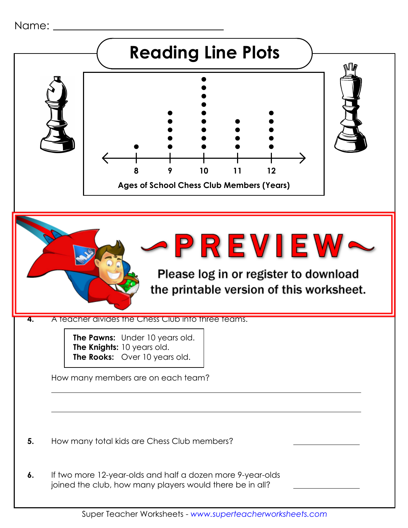Name: